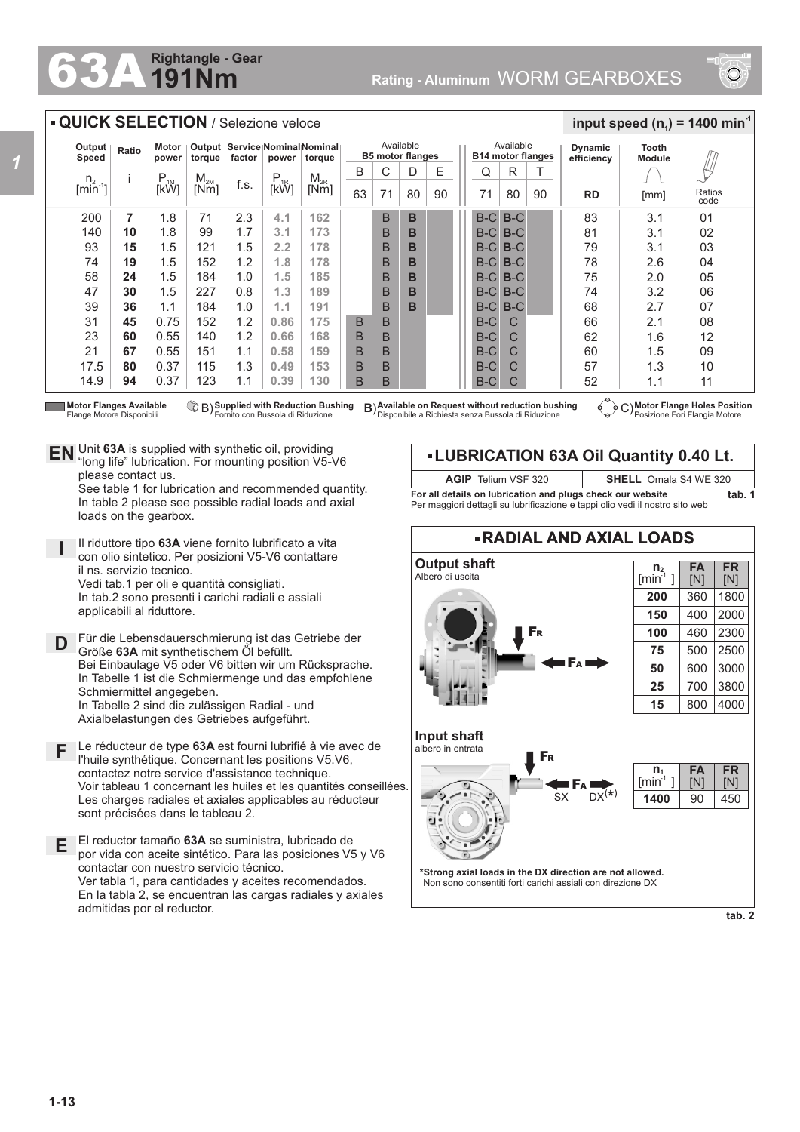## **191Nm Rightangle - Gear**



## **QUICK SELECTION / Selezione veloce**

| Output<br>Speed            | Ratio | Output   Service   Nominal Nominal   <br>Motor<br>factor<br>power<br>power<br>torque<br>torque |                 |      |               |          | Available<br><b>B5 motor flanges</b> |    |    |    | Available<br><b>B14 motor flanges</b> |       |    | <b>Dynamic</b><br>efficiency | Tooth<br><b>Module</b> |                |
|----------------------------|-------|------------------------------------------------------------------------------------------------|-----------------|------|---------------|----------|--------------------------------------|----|----|----|---------------------------------------|-------|----|------------------------------|------------------------|----------------|
| n <sub>2</sub>             |       | $P_{1M}$                                                                                       | M <sub>2M</sub> |      |               | $M_{2R}$ | B                                    | С  | D  | Е  | Q                                     | R     |    |                              |                        |                |
| $\lceil \text{min} \rceil$ |       | [kW]                                                                                           | [Nm]            | f.s. | $P_{1R}$ [kŴ] | [Nm]     | 63                                   | 71 | 80 | 90 | 71                                    | 80    | 90 | <b>RD</b>                    | [mm]                   | Ratios<br>code |
| 200                        | 7     | 1.8                                                                                            | 71              | 2.3  | 4.1           | 162      |                                      | B  | B  |    | $B-C$                                 | $B-C$ |    | 83                           | 3.1                    | 01             |
| 140                        | 10    | 1.8                                                                                            | 99              | 1.7  | 3.1           | 173      |                                      | B  | B  |    | $B-C$                                 | $B-C$ |    | 81                           | 3.1                    | 02             |
| 93                         | 15    | 1.5                                                                                            | 121             | 1.5  | 2.2           | 178      |                                      | B  | в  |    | $B-C$                                 | $B-C$ |    | 79                           | 3.1                    | 03             |
| 74                         | 19    | 1.5                                                                                            | 152             | 1.2  | 1.8           | 178      |                                      | B  | в  |    | $B-C$                                 | $B-C$ |    | 78                           | 2.6                    | 04             |
| 58                         | 24    | 1.5                                                                                            | 184             | 1.0  | 1.5           | 185      |                                      | B  | B  |    | $B-C$                                 | $B-C$ |    | 75                           | 2.0                    | 05             |
| 47                         | 30    | 1.5                                                                                            | 227             | 0.8  | 1.3           | 189      |                                      | B  | B  |    | $B-C$                                 | $B-C$ |    | 74                           | 3.2                    | 06             |
| 39                         | 36    | 1.1                                                                                            | 184             | 1.0  | 1.1           | 191      |                                      | B  | B  |    | $B-C$                                 | $B-C$ |    | 68                           | 2.7                    | 07             |
| 31                         | 45    | 0.75                                                                                           | 152             | 1.2  | 0.86          | 175      | B                                    | B  |    |    | $B-C$                                 | C     |    | 66                           | 2.1                    | 08             |
| 23                         | 60    | 0.55                                                                                           | 140             | 1.2  | 0.66          | 168      | B                                    | B  |    |    | $B-C$                                 | C     |    | 62                           | 1.6                    | 12             |
| 21                         | 67    | 0.55                                                                                           | 151             | 1.1  | 0.58          | 159      | B                                    | B  |    |    | $B-C$                                 | C     |    | 60                           | 1.5                    | 09             |
| 17.5                       | 80    | 0.37                                                                                           | 115             | 1.3  | 0.49          | 153      | B                                    | B  |    |    | $B-C$                                 | C     |    | 57                           | 1.3                    | 10             |
| 14.9                       | 94    | 0.37                                                                                           | 123             | 1.1  | 0.39          | 130      | В                                    | в  |    |    | B-C                                   | C     |    | 52                           | 1.1                    | 11             |

**Motor Flanges Available** Flange Motore Disponibili

**Supplied with Reduction Bushing** Fornito con Bussola di Riduzione

**Available on Request with Reduction Bushing B) Available on Request without reduction bushing**  $\left(\frac{1}{2}\right)$  **C)** Disponibile a Richiesta senza Bussola di Riduzione

**Motor Flange Holes Position** Posizione Fori Flangia Motore

 $\frac{1}{2}$  **input speed (n**<sub>1</sub>) = 1400 min<sup>-1</sup>

Unit **63A** is supplied with synthetic oil, providing **EN** Unit 63A is supplied with synthetic oil, providing<br>"long life" lubrication. For mounting position V5-V6 please contact us.

See table 1 for lubrication and recommended quantity. In table 2 please see possible radial loads and axial loads on the gearbox.

**I** Ill riduttore tipo 63A viene fornito lubrificato a vita con olio sintetico. Per posizioni V5-V6 contattare il ns. servizio tecnico. Vedi tab.1 per oli e quantità consigliati. In tab.2 sono presenti i carichi radiali e assiali

applicabili al riduttore.

**D** Für die Lebensdauerschmierung ist das Getriebe der<br>
Größe 634 mit synthetischem Öl befüllt Größe **63A** mit synthetischem Öl befüllt. Bei Einbaulage V5 oder V6 bitten wir um Rücksprache. In Tabelle 1 ist die Schmiermenge und das empfohlene Schmiermittel angegeben. In Tabelle 2 sind die zulässigen Radial - und Axialbelastungen des Getriebes aufgeführt.

- **F** Le réducteur de type **63A** est fourni lubrifié à vie avec de l'huile synthétique. Concernant les positions V5.V6, contactez notre service d'assistance technique. Voir tableau 1 concernant les huiles et les quantités conseillées. Les charges radiales et axiales applicables au réducteur sont précisées dans le tableau 2.
- **E** El reductor tamaño **63A** se suministra, lubricado de por vida con aceite sintético. Para las posiciones V5 y V6 contactar con nuestro servicio técnico. Ver tabla 1, para cantidades y aceites recomendados. En la tabla 2, se encuentran las cargas radiales y axiales admitidas por el reductor.

**LUBRICATION 63A Oil Quantity 0.40 Lt. AGIP** Telium VSF 320 **SHELL** Omala S4 WE 320

**For all details on lubrication and plugs check our website tab. 1** Per maggiori dettagli su lubrificazione e tappi olio vedi il nostro sito web



**tab. 2**

*1*